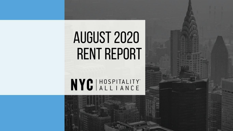## AUGUST 2020 **RENT REPORT**

## NYC ALLIANCE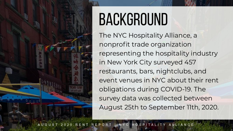

## **BACKGROUND**

The NYC Hospitality Alliance, a nonprofit trade organization representing the hospitality industry in New York City surveyed 457 restaurants, bars, nightclubs, and event venues in NYC about their rent obligations during COVID-19. The survey data was collected between August 25th to September 11th, 2020.

2020 RENT REPORT | ALLIANCE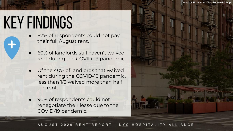## **KEY FINDINGS**

- 87% of respondents could not pay their full August rent.
- 60% of landlords still haven't waived rent during the COVID-19 pandemic.
- Of the 40% of landlords that waived rent during the COVID-19 pandemic, less than 1/3 waived more than half the rent.
- 90% of respondents could not renegotiate their lease due to the COVID-19 pandemic.

AUGUST 2020 RENT REPORT | NYC HOSPITALITY ALLIANCE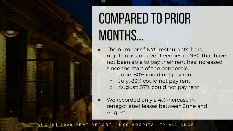

## **COMPARED TO PRIOR** MONTHS...

- The number of NYC restaurants, bars, nightclubs and event venues in NYC that have not been able to pay their rent has increased since the start of the pandemic.
	- June: 80% could not pay rent
	- July: 83% could not pay rent
	- August: 87% could not pay rent
- We recorded only a 4% increase in renegotiated leases between June and August.

NYC HOSPITALITY ALLIANCE AUGUST 2020 RENT REPORT |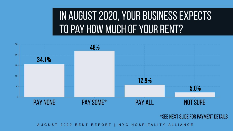### IN AUGUST 2020, YOUR BUSINESS EXPECTS TO PAY HOW MUCH OF YOUR RENT?



\*SEE NEXT SLIDE FOR PAYMENT DETAILS

AUGUST 2020 RENT REPORT NYC HOSPITALITY ALLIANCE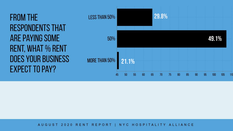**FROM THE RESPONDENTS THAT ARE PAYING SOME RENT, WHAT % RENT DOES YOUR BUSINESS EXPECT TO PAY?** 



#### AUGUST 2020 RENT REPORT **NY**  $\mathbb{C}$ HOSPITALITY ALLIANCE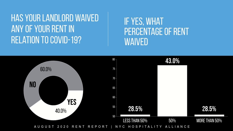### **HAS YOUR LANDLORD WAIVED** ANY OF YOUR RENT IN **RELATION TO COVID-19?**

#### **IF YES, WHAT PERCENTAGE OF RENT** WAIVED



NYC HOSPITALITY ALLIANCE AUGUST 2020 RENT REPORT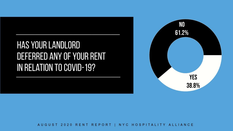### **HAS YOUR LANDLORD** DEFERRED ANY OF YOUR RENT IN RELATION TO COVID-19?



#### **AUGUST** 2020 RENT REPORT NYC HOSPITALITY ALLIANCE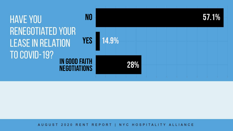#### **HAVE YOU RENEGOTIATED YOUR LEASE IN RELATION TO COVID-19?** In good faith



#### AUGUST 2020 RENT REPORT NYC HOSPITALITY ALLIANCE